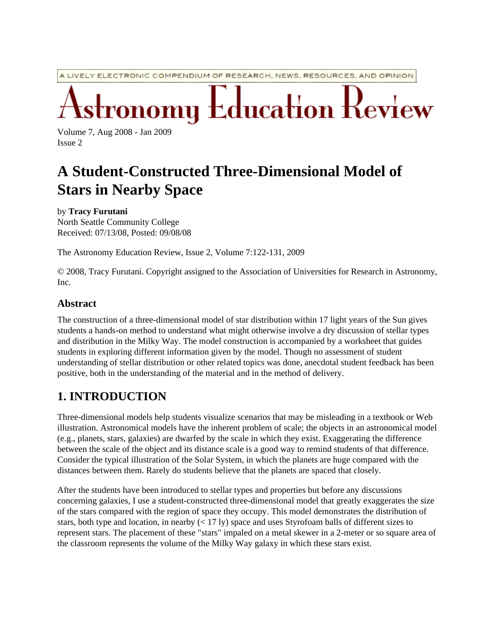A LIVELY ELECTRONIC COMPENDIUM OF RESEARCH, NEWS, RESOURCES, AND OPINION

Education Review

Volume 7, Aug 2008 - Jan 2009 Issue 2

# **A Student-Constructed Three-Dimensional Model of Stars in Nearby Space**

by **Tracy Furutani** North Seattle Community College Received: 07/13/08, Posted: 09/08/08

The Astronomy Education Review, Issue 2, Volume 7:122-131, 2009

© 2008, Tracy Furutani. Copyright assigned to the Association of Universities for Research in Astronomy, Inc.

#### **Abstract**

The construction of a three-dimensional model of star distribution within 17 light years of the Sun gives students a hands-on method to understand what might otherwise involve a dry discussion of stellar types and distribution in the Milky Way. The model construction is accompanied by a worksheet that guides students in exploring different information given by the model. Though no assessment of student understanding of stellar distribution or other related topics was done, anecdotal student feedback has been positive, both in the understanding of the material and in the method of delivery.

# **1. INTRODUCTION**

Three-dimensional models help students visualize scenarios that may be misleading in a textbook or Web illustration. Astronomical models have the inherent problem of scale; the objects in an astronomical model (e.g., planets, stars, galaxies) are dwarfed by the scale in which they exist. Exaggerating the difference between the scale of the object and its distance scale is a good way to remind students of that difference. Consider the typical illustration of the Solar System, in which the planets are huge compared with the distances between them. Rarely do students believe that the planets are spaced that closely.

After the students have been introduced to stellar types and properties but before any discussions concerning galaxies, I use a student-constructed three-dimensional model that greatly exaggerates the size of the stars compared with the region of space they occupy. This model demonstrates the distribution of stars, both type and location, in nearby  $( $17 \text{ ly}$ )$  space and uses Styrofoam balls of different sizes to represent stars. The placement of these "stars" impaled on a metal skewer in a 2-meter or so square area of the classroom represents the volume of the Milky Way galaxy in which these stars exist.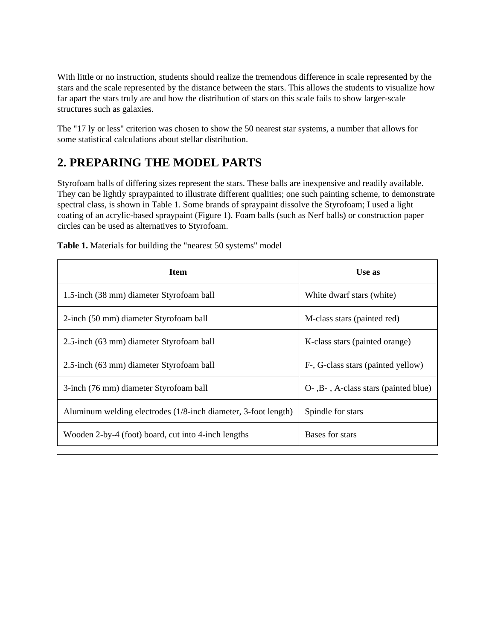With little or no instruction, students should realize the tremendous difference in scale represented by the stars and the scale represented by the distance between the stars. This allows the students to visualize how far apart the stars truly are and how the distribution of stars on this scale fails to show larger-scale structures such as galaxies.

The "17 ly or less" criterion was chosen to show the 50 nearest star systems, a number that allows for some statistical calculations about stellar distribution.

# **2. PREPARING THE MODEL PARTS**

Styrofoam balls of differing sizes represent the stars. These balls are inexpensive and readily available. They can be lightly spraypainted to illustrate different qualities; one such painting scheme, to demonstrate spectral class, is shown in Table 1. Some brands of spraypaint dissolve the Styrofoam; I used a light coating of an acrylic-based spraypaint (Figure 1). Foam balls (such as Nerf balls) or construction paper circles can be used as alternatives to Styrofoam.

| Item                                                           | Use as                               |
|----------------------------------------------------------------|--------------------------------------|
| 1.5-inch (38 mm) diameter Styrofoam ball                       | White dwarf stars (white)            |
| 2-inch (50 mm) diameter Styrofoam ball                         | M-class stars (painted red)          |
| 2.5-inch (63 mm) diameter Styrofoam ball                       | K-class stars (painted orange)       |
| 2.5-inch (63 mm) diameter Styrofoam ball                       | F-, G-class stars (painted yellow)   |
| 3-inch (76 mm) diameter Styrofoam ball                         | O-, B-, A-class stars (painted blue) |
| Aluminum welding electrodes (1/8-inch diameter, 3-foot length) | Spindle for stars                    |
| Wooden 2-by-4 (foot) board, cut into 4-inch lengths            | Bases for stars                      |

**Table 1.** Materials for building the "nearest 50 systems" model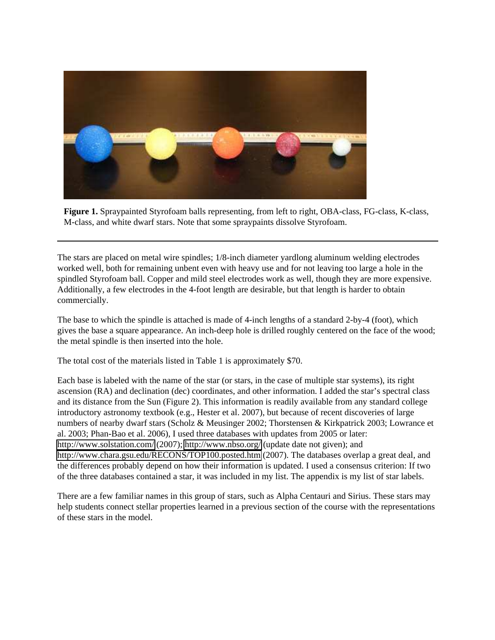

**Figure 1.** Spraypainted Styrofoam balls representing, from left to right, OBA-class, FG-class, K-class, M-class, and white dwarf stars. Note that some spraypaints dissolve Styrofoam.

The stars are placed on metal wire spindles; 1/8-inch diameter yardlong aluminum welding electrodes worked well, both for remaining unbent even with heavy use and for not leaving too large a hole in the spindled Styrofoam ball. Copper and mild steel electrodes work as well, though they are more expensive. Additionally, a few electrodes in the 4-foot length are desirable, but that length is harder to obtain commercially.

The base to which the spindle is attached is made of 4-inch lengths of a standard 2-by-4 (foot), which gives the base a square appearance. An inch-deep hole is drilled roughly centered on the face of the wood; the metal spindle is then inserted into the hole.

The total cost of the materials listed in Table 1 is approximately \$70.

Each base is labeled with the name of the star (or stars, in the case of multiple star systems), its right ascension (RA) and declination (dec) coordinates, and other information. I added the star's spectral class and its distance from the Sun (Figure 2). This information is readily available from any standard college introductory astronomy textbook (e.g., Hester et al. 2007), but because of recent discoveries of large numbers of nearby dwarf stars (Scholz & Meusinger 2002; Thorstensen & Kirkpatrick 2003; Lowrance et al. 2003; Phan-Bao et al. 2006), I used three databases with updates from 2005 or later: <http://www.solstation.com/>(2007);<http://www.nbso.org/>(update date not given); and <http://www.chara.gsu.edu/RECONS/TOP100.posted.htm>(2007). The databases overlap a great deal, and the differences probably depend on how their information is updated. I used a consensus criterion: If two of the three databases contained a star, it was included in my list. The appendix is my list of star labels.

There are a few familiar names in this group of stars, such as Alpha Centauri and Sirius. These stars may help students connect stellar properties learned in a previous section of the course with the representations of these stars in the model.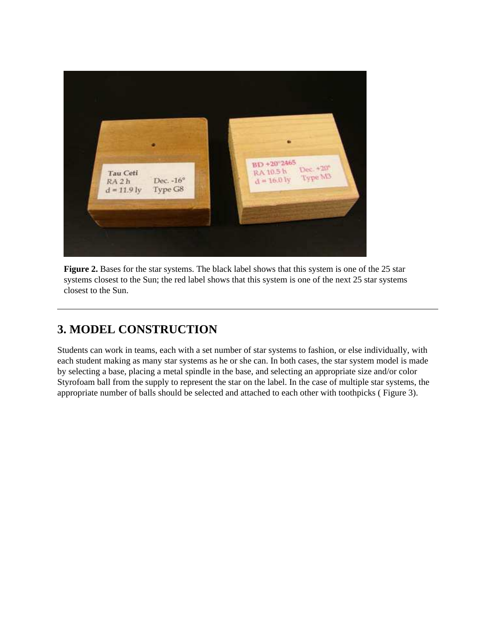

**Figure 2.** Bases for the star systems. The black label shows that this system is one of the 25 star systems closest to the Sun; the red label shows that this system is one of the next 25 star systems closest to the Sun.

# **3. MODEL CONSTRUCTION**

Students can work in teams, each with a set number of star systems to fashion, or else individually, with each student making as many star systems as he or she can. In both cases, the star system model is made by selecting a base, placing a metal spindle in the base, and selecting an appropriate size and/or color Styrofoam ball from the supply to represent the star on the label. In the case of multiple star systems, the appropriate number of balls should be selected and attached to each other with toothpicks ( Figure 3).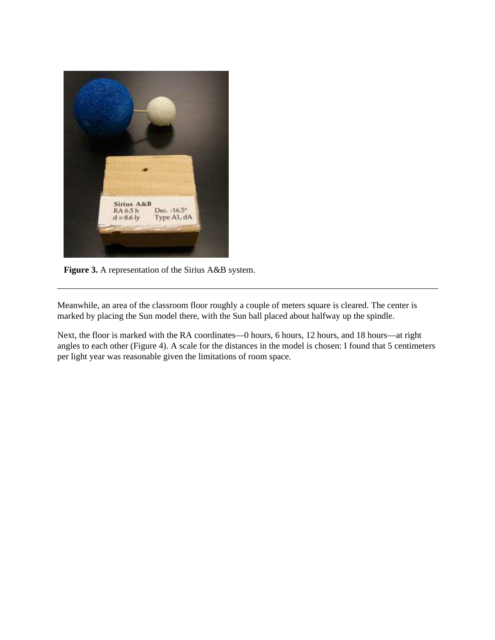

**Figure 3.** A representation of the Sirius A&B system.

Meanwhile, an area of the classroom floor roughly a couple of meters square is cleared. The center is marked by placing the Sun model there, with the Sun ball placed about halfway up the spindle.

Next, the floor is marked with the RA coordinates—0 hours, 6 hours, 12 hours, and 18 hours—at right angles to each other (Figure 4). A scale for the distances in the model is chosen: I found that 5 centimeters per light year was reasonable given the limitations of room space.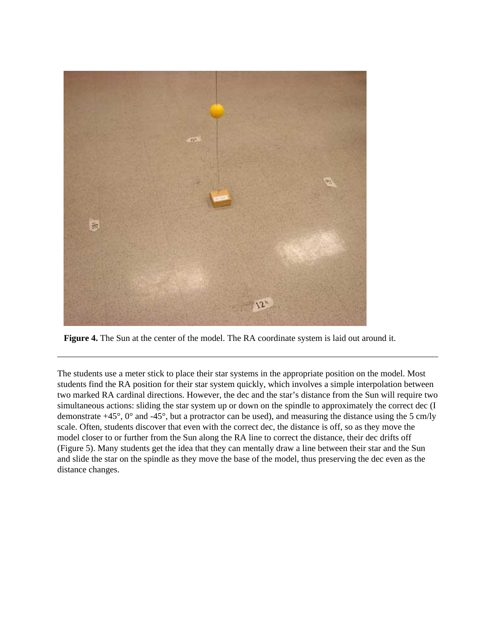

**Figure 4.** The Sun at the center of the model. The RA coordinate system is laid out around it.

The students use a meter stick to place their star systems in the appropriate position on the model. Most students find the RA position for their star system quickly, which involves a simple interpolation between two marked RA cardinal directions. However, the dec and the star's distance from the Sun will require two simultaneous actions: sliding the star system up or down on the spindle to approximately the correct dec (I demonstrate +45°, 0° and -45°, but a protractor can be used), and measuring the distance using the 5 cm/ly scale. Often, students discover that even with the correct dec, the distance is off, so as they move the model closer to or further from the Sun along the RA line to correct the distance, their dec drifts off (Figure 5). Many students get the idea that they can mentally draw a line between their star and the Sun and slide the star on the spindle as they move the base of the model, thus preserving the dec even as the distance changes.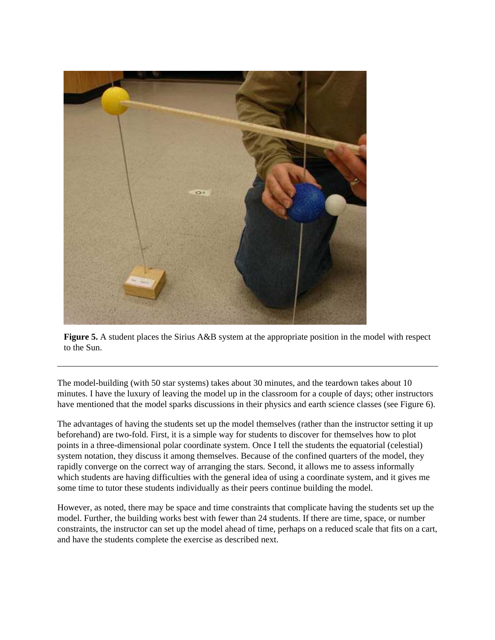

**Figure 5.** A student places the Sirius A&B system at the appropriate position in the model with respect to the Sun.

The model-building (with 50 star systems) takes about 30 minutes, and the teardown takes about 10 minutes. I have the luxury of leaving the model up in the classroom for a couple of days; other instructors have mentioned that the model sparks discussions in their physics and earth science classes (see Figure 6).

The advantages of having the students set up the model themselves (rather than the instructor setting it up beforehand) are two-fold. First, it is a simple way for students to discover for themselves how to plot points in a three-dimensional polar coordinate system. Once I tell the students the equatorial (celestial) system notation, they discuss it among themselves. Because of the confined quarters of the model, they rapidly converge on the correct way of arranging the stars. Second, it allows me to assess informally which students are having difficulties with the general idea of using a coordinate system, and it gives me some time to tutor these students individually as their peers continue building the model.

However, as noted, there may be space and time constraints that complicate having the students set up the model. Further, the building works best with fewer than 24 students. If there are time, space, or number constraints, the instructor can set up the model ahead of time, perhaps on a reduced scale that fits on a cart, and have the students complete the exercise as described next.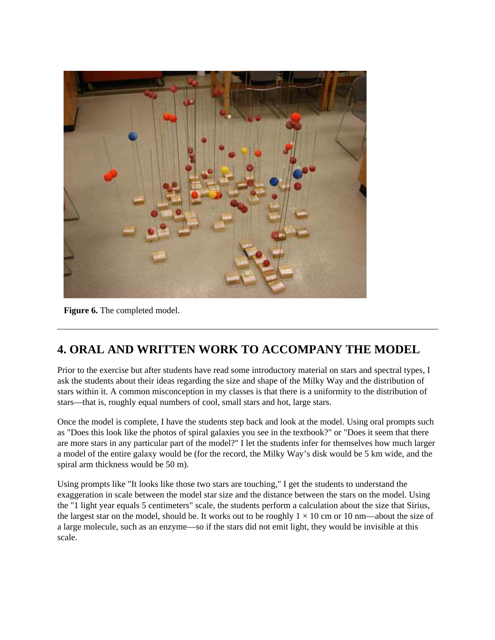

**Figure 6.** The completed model.

# **4. ORAL AND WRITTEN WORK TO ACCOMPANY THE MODEL**

Prior to the exercise but after students have read some introductory material on stars and spectral types, I ask the students about their ideas regarding the size and shape of the Milky Way and the distribution of stars within it. A common misconception in my classes is that there is a uniformity to the distribution of stars—that is, roughly equal numbers of cool, small stars and hot, large stars.

Once the model is complete, I have the students step back and look at the model. Using oral prompts such as "Does this look like the photos of spiral galaxies you see in the textbook?" or "Does it seem that there are more stars in any particular part of the model?" I let the students infer for themselves how much larger a model of the entire galaxy would be (for the record, the Milky Way's disk would be 5 km wide, and the spiral arm thickness would be 50 m).

Using prompts like "It looks like those two stars are touching," I get the students to understand the exaggeration in scale between the model star size and the distance between the stars on the model. Using the "1 light year equals 5 centimeters" scale, the students perform a calculation about the size that Sirius, the largest star on the model, should be. It works out to be roughly  $1 \times 10$  cm or 10 nm—about the size of a large molecule, such as an enzyme—so if the stars did not emit light, they would be invisible at this scale.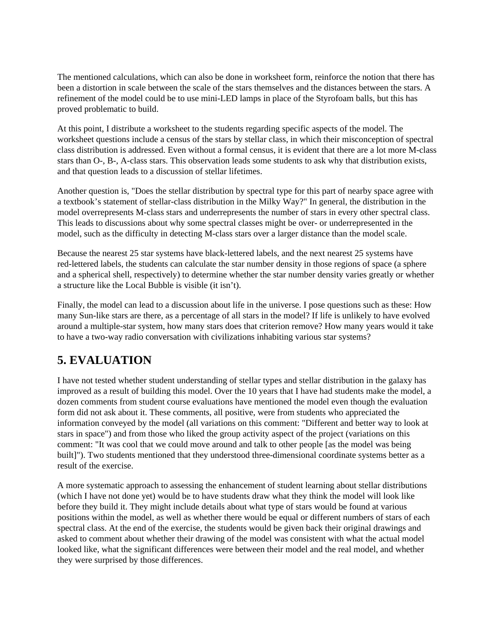The mentioned calculations, which can also be done in worksheet form, reinforce the notion that there has been a distortion in scale between the scale of the stars themselves and the distances between the stars. A refinement of the model could be to use mini-LED lamps in place of the Styrofoam balls, but this has proved problematic to build.

At this point, I distribute a worksheet to the students regarding specific aspects of the model. The worksheet questions include a census of the stars by stellar class, in which their misconception of spectral class distribution is addressed. Even without a formal census, it is evident that there are a lot more M-class stars than O-, B-, A-class stars. This observation leads some students to ask why that distribution exists, and that question leads to a discussion of stellar lifetimes.

Another question is, "Does the stellar distribution by spectral type for this part of nearby space agree with a textbook's statement of stellar-class distribution in the Milky Way?" In general, the distribution in the model overrepresents M-class stars and underrepresents the number of stars in every other spectral class. This leads to discussions about why some spectral classes might be over- or underrepresented in the model, such as the difficulty in detecting M-class stars over a larger distance than the model scale.

Because the nearest 25 star systems have black-lettered labels, and the next nearest 25 systems have red-lettered labels, the students can calculate the star number density in those regions of space (a sphere and a spherical shell, respectively) to determine whether the star number density varies greatly or whether a structure like the Local Bubble is visible (it isn't).

Finally, the model can lead to a discussion about life in the universe. I pose questions such as these: How many Sun-like stars are there, as a percentage of all stars in the model? If life is unlikely to have evolved around a multiple-star system, how many stars does that criterion remove? How many years would it take to have a two-way radio conversation with civilizations inhabiting various star systems?

# **5. EVALUATION**

I have not tested whether student understanding of stellar types and stellar distribution in the galaxy has improved as a result of building this model. Over the 10 years that I have had students make the model, a dozen comments from student course evaluations have mentioned the model even though the evaluation form did not ask about it. These comments, all positive, were from students who appreciated the information conveyed by the model (all variations on this comment: "Different and better way to look at stars in space") and from those who liked the group activity aspect of the project (variations on this comment: "It was cool that we could move around and talk to other people [as the model was being built]"). Two students mentioned that they understood three-dimensional coordinate systems better as a result of the exercise.

A more systematic approach to assessing the enhancement of student learning about stellar distributions (which I have not done yet) would be to have students draw what they think the model will look like before they build it. They might include details about what type of stars would be found at various positions within the model, as well as whether there would be equal or different numbers of stars of each spectral class. At the end of the exercise, the students would be given back their original drawings and asked to comment about whether their drawing of the model was consistent with what the actual model looked like, what the significant differences were between their model and the real model, and whether they were surprised by those differences.